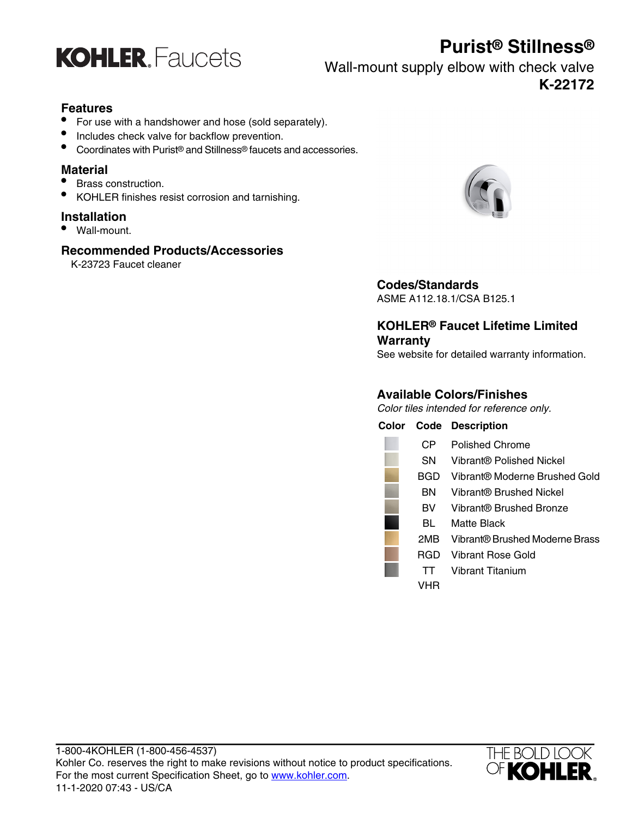

# **Purist® Stillness®**

Wall-mount supply elbow with check valve **K-22172**

#### **Features**

- For use with a handshower and hose (sold separately).
- Includes check valve for backflow prevention.
- Coordinates with Purist® and Stillness® faucets and accessories.

#### **Material**

- Brass construction.
- KOHLER finishes resist corrosion and tarnishing.

#### **Installation**

• Wall-mount.

#### **Recommended Products/Accessories**

K-23723 Faucet cleaner



### **Codes/Standards**

ASME A112.18.1/CSA B125.1

### **KOHLER® Faucet Lifetime Limited Warranty**

See website for detailed warranty information.

### **Available Colors/Finishes**

Color tiles intended for reference only.